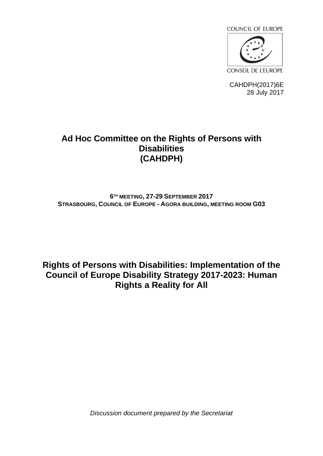

CAHDPH(2017)6E 28 July 2017

# **Ad Hoc Committee on the Rights of Persons with Disabilities (CAHDPH)**

## **6 TH MEETING, 27-29 SEPTEMBER 2017 STRASBOURG, COUNCIL OF EUROPE - AGORA BUILDING, MEETING ROOM G03**

**Rights of Persons with Disabilities: Implementation of the Council of Europe Disability Strategy 2017-2023: Human Rights a Reality for All**

*Discussion document prepared by the Secretariat*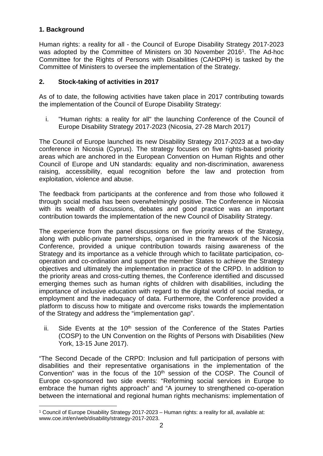## **1. Background**

Human rights: a reality for all - the Council of Europe Disability Strategy 2017-2023 was adopted by the Committee of Ministers on 30 November 2016<sup>1</sup>. The Ad-hoc Committee for the Rights of Persons with Disabilities (CAHDPH) is tasked by the Committee of Ministers to oversee the implementation of the Strategy.

## **2. Stock-taking of activities in 2017**

As of to date, the following activities have taken place in 2017 contributing towards the implementation of the Council of Europe Disability Strategy:

i. "Human rights: a reality for all" the launching Conference of the Council of Europe Disability Strategy 2017-2023 (Nicosia, 27-28 March 2017)

The Council of Europe launched its new Disability Strategy 2017-2023 at a two-day conference in Nicosia (Cyprus). The strategy focuses on five rights-based priority areas which are anchored in the European Convention on Human Rights and other Council of Europe and UN standards: equality and non-discrimination, awareness raising, accessibility, equal recognition before the law and protection from exploitation, violence and abuse.

The feedback from participants at the conference and from those who followed it through social media has been overwhelmingly positive. The Conference in Nicosia with its wealth of discussions, debates and good practice was an important contribution towards the implementation of the new Council of Disability Strategy.

The experience from the panel discussions on five priority areas of the Strategy, along with public-private partnerships, organised in the framework of the Nicosia Conference, provided a unique contribution towards raising awareness of the Strategy and its importance as a vehicle through which to facilitate participation, cooperation and co-ordination and support the member States to achieve the Strategy objectives and ultimately the implementation in practice of the CRPD. In addition to the priority areas and cross-cutting themes, the Conference identified and discussed emerging themes such as human rights of children with disabilities, including the importance of inclusive education with regard to the digital world of social media, or employment and the inadequacy of data. Furthermore, the Conference provided a platform to discuss how to mitigate and overcome risks towards the implementation of the Strategy and address the "implementation gap".

ii. Side Events at the  $10<sup>th</sup>$  session of the Conference of the States Parties (COSP) to the UN Convention on the Rights of Persons with Disabilities (New York, 13-15 June 2017).

"The Second Decade of the CRPD: Inclusion and full participation of persons with disabilities and their representative organisations in the implementation of the Convention" was in the focus of the 10<sup>th</sup> session of the COSP. The Council of Europe co-sponsored two side events: "Reforming social services in Europe to embrace the human rights approach" and "A journey to strengthened co-operation between the international and regional human rights mechanisms: implementation of

<sup>1</sup> Council of Europe Disability Strategy 2017-2023 – Human rights: a reality for all, available at: www.coe.int/en/web/disability/strategy-2017-2023.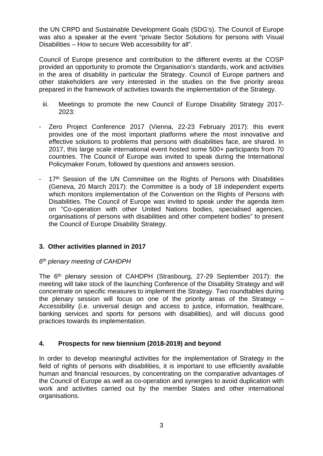the UN CRPD and Sustainable Development Goals (SDG's). The Council of Europe was also a speaker at the event "private Sector Solutions for persons with Visual Disabilities – How to secure Web accessibility for all".

Council of Europe presence and contribution to the different events at the COSP provided an opportunity to promote the Organisation's standards, work and activities in the area of disability in particular the Strategy. Council of Europe partners and other stakeholders are very interested in the studies on the five priority areas prepared in the framework of activities towards the implementation of the Strategy.

- iii. Meetings to promote the new Council of Europe Disability Strategy 2017- 2023:
- Zero Project Conference 2017 (Vienna, 22-23 February 2017): this event provides one of the most important platforms where the most innovative and effective solutions to problems that persons with disabilities face, are shared. In 2017, this large scale international event hosted some 500+ participants from 70 countries. The Council of Europe was invited to speak during the International Policymaker Forum, followed by questions and answers session.
- 17<sup>th</sup> Session of the UN Committee on the Rights of Persons with Disabilities (Geneva, 20 March 2017): the Committee is a body of 18 independent experts which monitors implementation of the Convention on the Rights of Persons with Disabilities. The Council of Europe was invited to speak under the agenda item on "Co-operation with other United Nations bodies, specialised agencies, organisations of persons with disabilities and other competent bodies" to present the Council of Europe Disability Strategy.

#### **3. Other activities planned in 2017**

### *6 th plenary meeting of CAHDPH*

The 6th plenary session of CAHDPH (Strasbourg, 27-29 September 2017): the meeting will take stock of the launching Conference of the Disability Strategy and will concentrate on specific measures to implement the Strategy. Two roundtables during the plenary session will focus on one of the priority areas of the Strategy – Accessibility (i.e. universal design and access to justice, information, healthcare, banking services and sports for persons with disabilities), and will discuss good practices towards its implementation.

#### **4. Prospects for new biennium (2018-2019) and beyond**

In order to develop meaningful activities for the implementation of Strategy in the field of rights of persons with disabilities, it is important to use efficiently available human and financial resources, by concentrating on the comparative advantages of the Council of Europe as well as co-operation and synergies to avoid duplication with work and activities carried out by the member States and other international organisations.